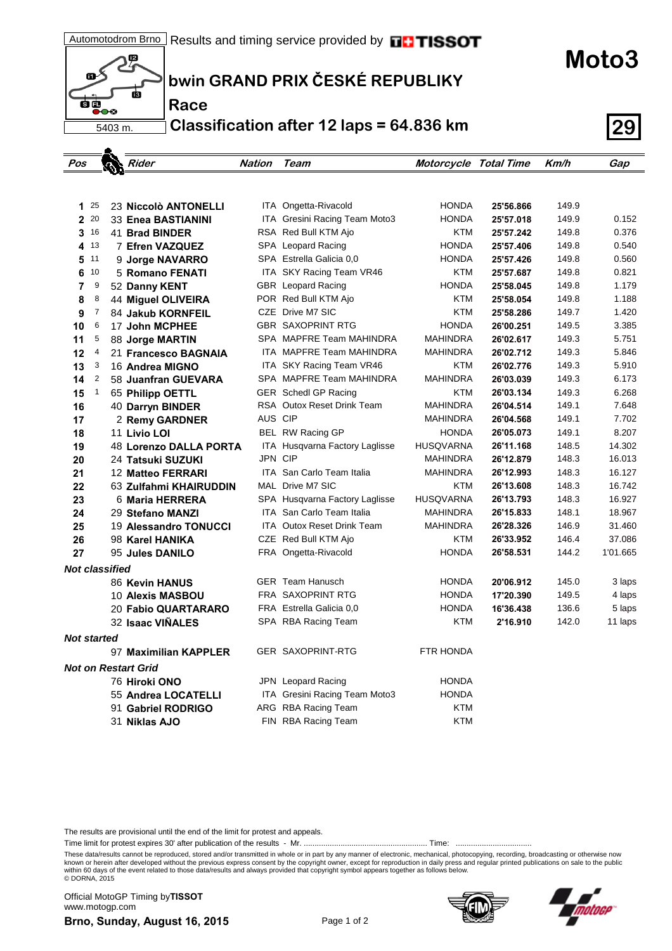**bwin GRAND PRIX ČESKÉ REPUBLIKY**

**Race**

5403 m.

 $\mathbf{m}$ 

ंब  $\overline{\bullet}\bullet\circ$  恩

Ġ

**Classification after 12 laps = 64.836 km 29**

| Pos                        |                |  | Rider                      | Nation  | Team                             | Motorcycle Total Time |           | Km/h  | Gap      |  |  |
|----------------------------|----------------|--|----------------------------|---------|----------------------------------|-----------------------|-----------|-------|----------|--|--|
|                            |                |  |                            |         |                                  |                       |           |       |          |  |  |
|                            |                |  |                            |         |                                  |                       |           |       |          |  |  |
| 1                          | 25             |  | 23 Niccolò ANTONELLI       |         | ITA Ongetta-Rivacold             | <b>HONDA</b>          | 25'56.866 | 149.9 |          |  |  |
| $\mathbf{2}$               | 20             |  | <b>33 Enea BASTIANINI</b>  |         | ITA Gresini Racing Team Moto3    | <b>HONDA</b>          | 25'57.018 | 149.9 | 0.152    |  |  |
| 3                          | 16             |  | 41 Brad BINDER             |         | RSA Red Bull KTM Ajo             | <b>KTM</b>            | 25'57.242 | 149.8 | 0.376    |  |  |
| 4                          | 13             |  | 7 Efren VAZQUEZ            |         | SPA Leopard Racing               | <b>HONDA</b>          | 25'57.406 | 149.8 | 0.540    |  |  |
| 5                          | 11             |  | 9 Jorge NAVARRO            |         | SPA Estrella Galicia 0.0         | <b>HONDA</b>          | 25'57.426 | 149.8 | 0.560    |  |  |
| 6                          | 10             |  | 5 Romano FENATI            |         | ITA SKY Racing Team VR46         | <b>KTM</b>            | 25'57.687 | 149.8 | 0.821    |  |  |
| 7                          | 9              |  | 52 Danny KENT              |         | GBR Leopard Racing               | <b>HONDA</b>          | 25'58.045 | 149.8 | 1.179    |  |  |
| 8                          | 8              |  | 44 Miguel OLIVEIRA         |         | POR Red Bull KTM Ajo             | <b>KTM</b>            | 25'58.054 | 149.8 | 1.188    |  |  |
| 9                          | $\overline{7}$ |  | 84 Jakub KORNFEIL          |         | CZE Drive M7 SIC                 | <b>KTM</b>            | 25'58.286 | 149.7 | 1.420    |  |  |
| 10                         | 6              |  | 17 John MCPHEE             |         | <b>GBR SAXOPRINT RTG</b>         | <b>HONDA</b>          | 26'00.251 | 149.5 | 3.385    |  |  |
| 11                         | 5              |  | 88 Jorge MARTIN            |         | SPA MAPFRE Team MAHINDRA         | MAHINDRA              | 26'02.617 | 149.3 | 5.751    |  |  |
| 12                         | 4              |  | 21 Francesco BAGNAIA       |         | ITA MAPFRE Team MAHINDRA         | <b>MAHINDRA</b>       | 26'02.712 | 149.3 | 5.846    |  |  |
| 13                         | 3              |  | 16 Andrea MIGNO            |         | ITA SKY Racing Team VR46         | <b>KTM</b>            | 26'02.776 | 149.3 | 5.910    |  |  |
| 14                         | 2              |  | 58 Juanfran GUEVARA        |         | SPA MAPFRE Team MAHINDRA         | <b>MAHINDRA</b>       | 26'03.039 | 149.3 | 6.173    |  |  |
| 15                         | $\mathbf{1}$   |  | 65 Philipp OETTL           |         | <b>GER</b> Schedl GP Racing      | <b>KTM</b>            | 26'03.134 | 149.3 | 6.268    |  |  |
| 16                         |                |  | 40 Darryn BINDER           |         | RSA Outox Reset Drink Team       | <b>MAHINDRA</b>       | 26'04.514 | 149.1 | 7.648    |  |  |
| 17                         |                |  | 2 Remy GARDNER             | AUS CIP |                                  | MAHINDRA              | 26'04.568 | 149.1 | 7.702    |  |  |
| 18                         |                |  | 11 Livio LOI               |         | BEL RW Racing GP                 | <b>HONDA</b>          | 26'05.073 | 149.1 | 8.207    |  |  |
| 19                         |                |  | 48 Lorenzo DALLA PORTA     |         | ITA Husqvarna Factory Laglisse   | <b>HUSQVARNA</b>      | 26'11.168 | 148.5 | 14.302   |  |  |
| 20                         |                |  | 24 Tatsuki SUZUKI          | JPN CIP |                                  | MAHINDRA              | 26'12.879 | 148.3 | 16.013   |  |  |
| 21                         |                |  | 12 Matteo FERRARI          |         | <b>ITA San Carlo Team Italia</b> | <b>MAHINDRA</b>       | 26'12.993 | 148.3 | 16.127   |  |  |
| 22                         |                |  | 63 Zulfahmi KHAIRUDDIN     |         | MAL Drive M7 SIC                 | <b>KTM</b>            | 26'13.608 | 148.3 | 16.742   |  |  |
| 23                         |                |  | 6 Maria HERRERA            |         | SPA Husqvarna Factory Laglisse   | <b>HUSQVARNA</b>      | 26'13.793 | 148.3 | 16.927   |  |  |
| 24                         |                |  | 29 Stefano MANZI           |         | <b>ITA</b> San Carlo Team Italia | <b>MAHINDRA</b>       | 26'15.833 | 148.1 | 18.967   |  |  |
| 25                         |                |  | 19 Alessandro TONUCCI      |         | ITA Outox Reset Drink Team       | <b>MAHINDRA</b>       | 26'28.326 | 146.9 | 31.460   |  |  |
| 26                         |                |  | 98 Karel HANIKA            |         | CZE Red Bull KTM Ajo             | <b>KTM</b>            | 26'33.952 | 146.4 | 37.086   |  |  |
| 27                         |                |  | 95 Jules DANILO            |         | FRA Ongetta-Rivacold             | <b>HONDA</b>          | 26'58.531 | 144.2 | 1'01.665 |  |  |
| Not classified             |                |  |                            |         |                                  |                       |           |       |          |  |  |
|                            |                |  | 86 Kevin HANUS             |         | <b>GER</b> Team Hanusch          | <b>HONDA</b>          | 20'06.912 | 145.0 | 3 laps   |  |  |
|                            |                |  | 10 Alexis MASBOU           |         | <b>FRA SAXOPRINT RTG</b>         | <b>HONDA</b>          | 17'20.390 | 149.5 | 4 laps   |  |  |
|                            |                |  | <b>20 Fabio QUARTARARO</b> |         | FRA Estrella Galicia 0.0         | <b>HONDA</b>          | 16'36.438 | 136.6 | 5 laps   |  |  |
|                            |                |  | 32 Isaac VIÑALES           |         | SPA RBA Racing Team              | <b>KTM</b>            | 2'16.910  | 142.0 | 11 laps  |  |  |
| <b>Not started</b>         |                |  |                            |         |                                  |                       |           |       |          |  |  |
|                            |                |  | 97 Maximilian KAPPLER      |         | <b>GER SAXOPRINT-RTG</b>         | <b>FTR HONDA</b>      |           |       |          |  |  |
| <b>Not on Restart Grid</b> |                |  |                            |         |                                  |                       |           |       |          |  |  |
|                            |                |  | 76 Hiroki ONO              |         | JPN Leopard Racing               | <b>HONDA</b>          |           |       |          |  |  |
|                            |                |  | 55 Andrea LOCATELLI        |         | ITA Gresini Racing Team Moto3    | <b>HONDA</b>          |           |       |          |  |  |
|                            |                |  | 91 Gabriel RODRIGO         |         | ARG RBA Racing Team              | <b>KTM</b>            |           |       |          |  |  |
|                            |                |  | 31 Niklas AJO              |         | FIN RBA Racing Team              | <b>KTM</b>            |           |       |          |  |  |
|                            |                |  |                            |         |                                  |                       |           |       |          |  |  |

The results are provisional until the end of the limit for protest and appeals.

Time limit for protest expires 30' after publication of the results - Mr. ......................................................... Time: ...................................

These data/results cannot be reproduced, stored and/or transmitted in whole or in part by any manner of electronic, mechanical, photocopying, recording, broadcasting or otherwise now<br>known or herein after developed without within 60 days of the event related to those data/results and always provided that copyright symbol appears together as follows below. © DORNA, 2015

**Brno, Sunday, August 16, 2015** Page 1 of 2 Official MotoGP Timing by **TISSOT**www.motogp.com